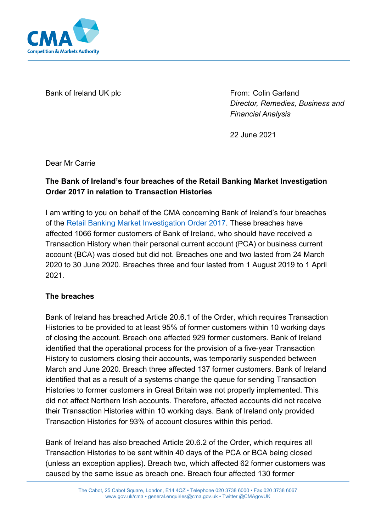

Bank of Ireland UK plc

From: Colin Garland *Director, Remedies, Business and Financial Analysis*

22 June 2021

Dear Mr Carrie

# **The Bank of Ireland's four breaches of the Retail Banking Market Investigation Order 2017 in relation to Transaction Histories**

I am writing to you on behalf of the CMA concerning Bank of Ireland's four breaches of the [Retail Banking Market Investigation Order 2017.](https://www.gov.uk/government/publications/retail-banking-market-investigation-order-2017) These breaches have affected 1066 former customers of Bank of Ireland, who should have received a Transaction History when their personal current account (PCA) or business current account (BCA) was closed but did not. Breaches one and two lasted from 24 March 2020 to 30 June 2020. Breaches three and four lasted from 1 August 2019 to 1 April 2021.

### **The breaches**

Bank of Ireland has breached Article 20.6.1 of the Order, which requires Transaction Histories to be provided to at least 95% of former customers within 10 working days of closing the account. Breach one affected 929 former customers. Bank of Ireland identified that the operational process for the provision of a five-year Transaction History to customers closing their accounts, was temporarily suspended between March and June 2020. Breach three affected 137 former customers. Bank of Ireland identified that as a result of a systems change the queue for sending Transaction Histories to former customers in Great Britain was not properly implemented. This did not affect Northern Irish accounts. Therefore, affected accounts did not receive their Transaction Histories within 10 working days. Bank of Ireland only provided Transaction Histories for 93% of account closures within this period.

Bank of Ireland has also breached Article 20.6.2 of the Order, which requires all Transaction Histories to be sent within 40 days of the PCA or BCA being closed (unless an exception applies). Breach two, which affected 62 former customers was caused by the same issue as breach one. Breach four affected 130 former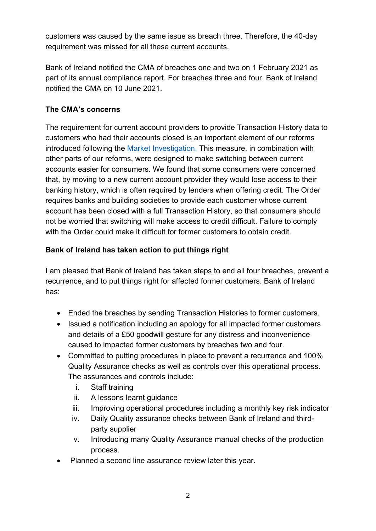customers was caused by the same issue as breach three. Therefore, the 40-day requirement was missed for all these current accounts.

Bank of Ireland notified the CMA of breaches one and two on 1 February 2021 as part of its annual compliance report. For breaches three and four, Bank of Ireland notified the CMA on 10 June 2021.

## **The CMA's concerns**

The requirement for current account providers to provide Transaction History data to customers who had their accounts closed is an important element of our reforms introduced following the [Market Investigation.](https://www.gov.uk/cma-cases/review-of-banking-for-small-and-medium-sized-businesses-smes-in-the-uk) This measure, in combination with other parts of our reforms, were designed to make switching between current accounts easier for consumers. We found that some consumers were concerned that, by moving to a new current account provider they would lose access to their banking history, which is often required by lenders when offering credit. The Order requires banks and building societies to provide each customer whose current account has been closed with a full Transaction History, so that consumers should not be worried that switching will make access to credit difficult. Failure to comply with the Order could make it difficult for former customers to obtain credit.

# **Bank of Ireland has taken action to put things right**

I am pleased that Bank of Ireland has taken steps to end all four breaches, prevent a recurrence, and to put things right for affected former customers. Bank of Ireland has:

- Ended the breaches by sending Transaction Histories to former customers.
- Issued a notification including an apology for all impacted former customers and details of a £50 goodwill gesture for any distress and inconvenience caused to impacted former customers by breaches two and four.
- Committed to putting procedures in place to prevent a recurrence and 100% Quality Assurance checks as well as controls over this operational process. The assurances and controls include:
	- i. Staff training
	- ii. A lessons learnt guidance
	- iii. Improving operational procedures including a monthly key risk indicator
	- iv. Daily Quality assurance checks between Bank of Ireland and thirdparty supplier
	- v. Introducing many Quality Assurance manual checks of the production process.
- Planned a second line assurance review later this year.